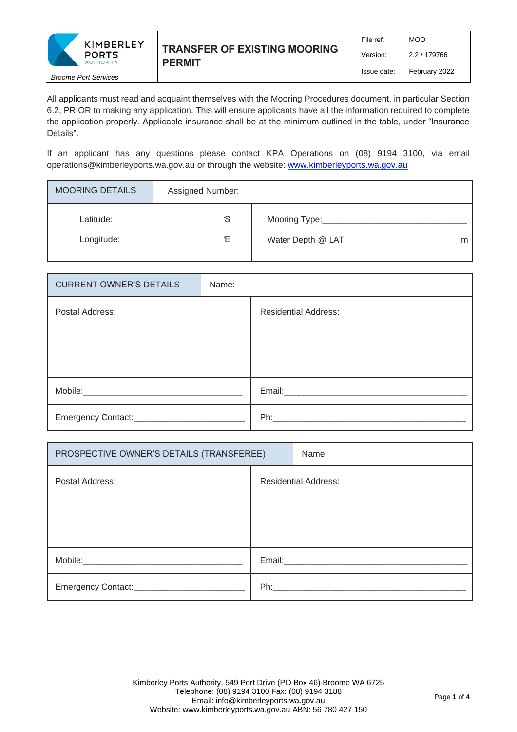

All applicants must read and acquaint themselves with the Mooring Procedures document, in particular Section 6.2, PRIOR to making any application. This will ensure applicants have all the information required to complete the application properly. Applicable insurance shall be at the minimum outlined in the table, under "Insurance Details".

If an applicant has any questions please contact KPA Operations on (08) 9194 3100, via email operations@kimberleyports.wa.gov.au or through the website: [www.kimberleyports.wa.gov.au](http://www.kimberleyports.wa.gov.au/)

| <b>MOORING DETAILS</b>  | Assigned Number: |                                                |
|-------------------------|------------------|------------------------------------------------|
| Latitude:<br>Longitude: | 'S<br>'⊏         | Mooring Type:______<br>Water Depth @ LAT:<br>m |

| <b>CURRENT OWNER'S DETAILS</b> | Name: |                                                                                                               |
|--------------------------------|-------|---------------------------------------------------------------------------------------------------------------|
| Postal Address:                |       | <b>Residential Address:</b>                                                                                   |
|                                |       |                                                                                                               |
|                                |       |                                                                                                               |
|                                |       |                                                                                                               |
|                                |       | Email: 2008 2010 2010 2021 2022 2023 2024 2022 2022 2023 2024 2022 2023 2024 2022 2023 2024 2022 2023 2024 20 |
| Emergency Contact:___________  |       | Ph:                                                                                                           |

| PROSPECTIVE OWNER'S DETAILS (TRANSFEREE) |  | Name:                                                                                                                                                                                                                               |
|------------------------------------------|--|-------------------------------------------------------------------------------------------------------------------------------------------------------------------------------------------------------------------------------------|
| Postal Address:                          |  | <b>Residential Address:</b>                                                                                                                                                                                                         |
|                                          |  |                                                                                                                                                                                                                                     |
|                                          |  |                                                                                                                                                                                                                                     |
|                                          |  |                                                                                                                                                                                                                                     |
|                                          |  | Email: Email: Email: Email: Email: Email: Email: Email: Email: Email: Email: Email: Email: Email: Email: Email: Email: Email: Email: Email: Email: Email: Email: Email: Email: Email: Email: Email: Email: Email: Email: Email      |
|                                          |  | <b>Ph:</b> Philadelphia and the contract of the contract of the contract of the contract of the contract of the contract of the contract of the contract of the contract of the contract of the contract of the contract of the con |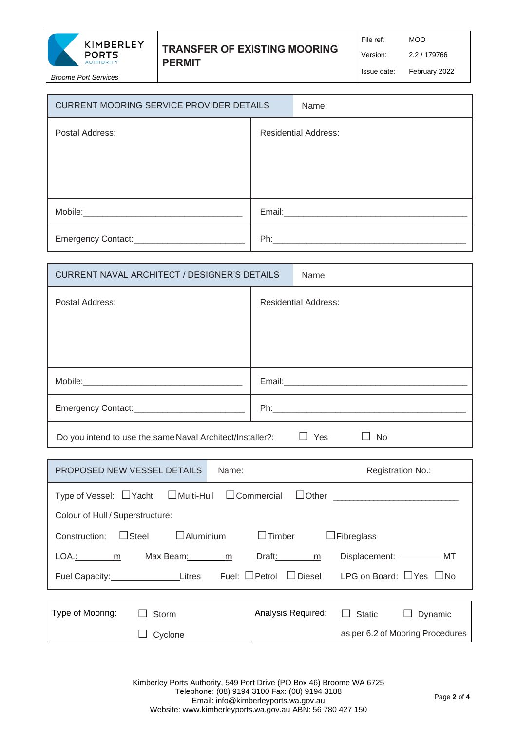

### **TRANSFER OF EXISTING MOORING PERMIT**

File ref: MOO

Version: 2.2 / 179766

Issue date: February 2022

| <b>CURRENT MOORING SERVICE PROVIDER DETAILS</b> |     | Name:                                                                                                                                                                                                                          |
|-------------------------------------------------|-----|--------------------------------------------------------------------------------------------------------------------------------------------------------------------------------------------------------------------------------|
| Postal Address:                                 |     | <b>Residential Address:</b>                                                                                                                                                                                                    |
|                                                 |     |                                                                                                                                                                                                                                |
|                                                 |     | Email: Email: Email: Email: Email: Email: Email: Email: Email: Email: Email: Email: Email: Email: Email: Email: Email: Email: Email: Email: Email: Email: Email: Email: Email: Email: Email: Email: Email: Email: Email: Email |
| Emergency Contact:____________                  | Ph: |                                                                                                                                                                                                                                |

| <b>CURRENT NAVAL ARCHITECT / DESIGNER'S DETAILS</b>                                                                                                                                                                            | Name:                       |  |  |
|--------------------------------------------------------------------------------------------------------------------------------------------------------------------------------------------------------------------------------|-----------------------------|--|--|
| Postal Address:                                                                                                                                                                                                                | <b>Residential Address:</b> |  |  |
|                                                                                                                                                                                                                                |                             |  |  |
|                                                                                                                                                                                                                                |                             |  |  |
|                                                                                                                                                                                                                                |                             |  |  |
| Mobile: Mobile: Mobile: Mobile: Mobile: Mobile: Mobile: Mobile: Mobile: Mobile: Mobile: Mobile: Mobile: Mobile: Mobile: Mobile: Mobile: Mobile: Mobile: Mobile: Mobile: Mobile: Mobile: Mobile: Mobile: Mobile: Mobile: Mobile |                             |  |  |
|                                                                                                                                                                                                                                |                             |  |  |
| Do you intend to use the same Naval Architect/Installer?:<br>Yes<br>No                                                                                                                                                         |                             |  |  |

| <b>PROPOSED NEW VESSEL DETAILS</b>                                                      | Name:               | <b>Registration No.:</b>          |                                    |  |  |  |
|-----------------------------------------------------------------------------------------|---------------------|-----------------------------------|------------------------------------|--|--|--|
| Type of Vessel: $\Box$ Yacht $\Box$ Multi-Hull                                          |                     | $\Box$ Other<br>$\Box$ Commercial |                                    |  |  |  |
| Colour of Hull / Superstructure:                                                        |                     |                                   |                                    |  |  |  |
| $\Box$ Timber<br>$\Box$ Steel<br>$\Box$ Aluminium<br>$\Box$ Fibreglass<br>Construction: |                     |                                   |                                    |  |  |  |
| LOA.: m<br>Max Beam:                                                                    | m                   | Draft:<br>m                       | Displacement: ____________MT       |  |  |  |
| Fuel Capacity: Litres                                                                   | Fuel: $\Box$ Petrol | $\Box$ Diesel                     | LPG on Board: $\Box$ Yes $\Box$ No |  |  |  |
|                                                                                         |                     |                                   |                                    |  |  |  |
| Type of Mooring:<br>Storm                                                               |                     | Analysis Required:                | <b>Static</b><br>Dynamic           |  |  |  |
| Cyclone                                                                                 |                     |                                   | as per 6.2 of Mooring Procedures   |  |  |  |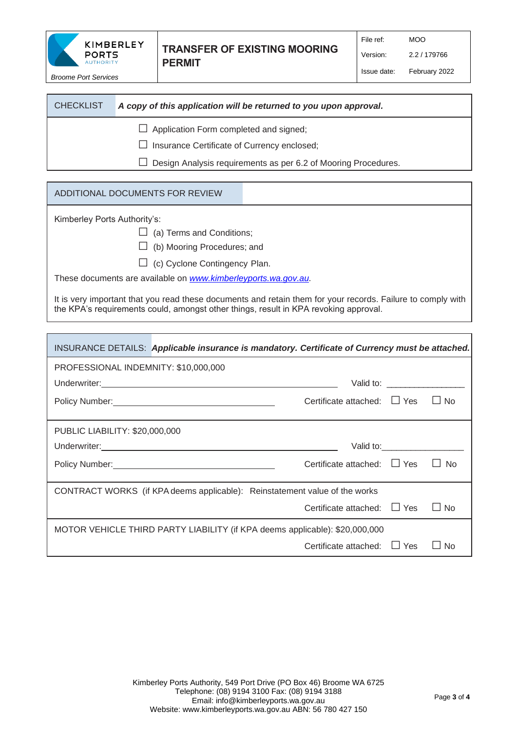

## **TRANSFER OF EXISTING MOORING PERMIT**

File ref: MOO

Version: 2.2 / 179766

| <b>CHECKLIST</b> | A copy of this application will be returned to you upon approval.                            |
|------------------|----------------------------------------------------------------------------------------------|
|                  | $\Box$ Application Form completed and signed;<br>Insurance Certificate of Currency enclosed; |
|                  | Design Analysis requirements as per 6.2 of Mooring Procedures.                               |

#### ADDITIONAL DOCUMENTS FOR REVIEW

Kimberley Ports Authority's:

 $\Box$  (a) Terms and Conditions;

 $\Box$  (b) Mooring Procedures; and

 $\Box$  (c) Cyclone Contingency Plan.

These documents are available on *[www.kimberleyports.wa.gov.au.](http://www.kimberleyports.wa.gov.au/)*

It is very important that you read these documents and retain them for your records. Failure to comply with the KPA's requirements could, amongst other things, result in KPA revoking approval.

|                                                                             | INSURANCE DETAILS: Applicable insurance is mandatory. Certificate of Currency must be attached. |                                  |                                  |           |
|-----------------------------------------------------------------------------|-------------------------------------------------------------------------------------------------|----------------------------------|----------------------------------|-----------|
| PROFESSIONAL INDEMNITY: \$10,000,000                                        |                                                                                                 |                                  |                                  |           |
|                                                                             |                                                                                                 |                                  | Valid to: <u>_______________</u> |           |
|                                                                             | Policy Number: 1999                                                                             | Certificate attached: $\Box$ Yes |                                  | $\Box$ No |
| PUBLIC LIABILITY: \$20,000,000                                              |                                                                                                 |                                  |                                  |           |
|                                                                             |                                                                                                 |                                  |                                  |           |
|                                                                             |                                                                                                 | Certificate attached: $\Box$ Yes |                                  | <b>No</b> |
|                                                                             | CONTRACT WORKS (if KPA deems applicable): Reinstatement value of the works                      |                                  |                                  |           |
|                                                                             |                                                                                                 | Certificate attached: $\Box$ Yes |                                  | $\Box$ No |
| MOTOR VEHICLE THIRD PARTY LIABILITY (if KPA deems applicable): \$20,000,000 |                                                                                                 |                                  |                                  |           |
|                                                                             |                                                                                                 | Certificate attached: $\Box$ Yes |                                  | N٥        |